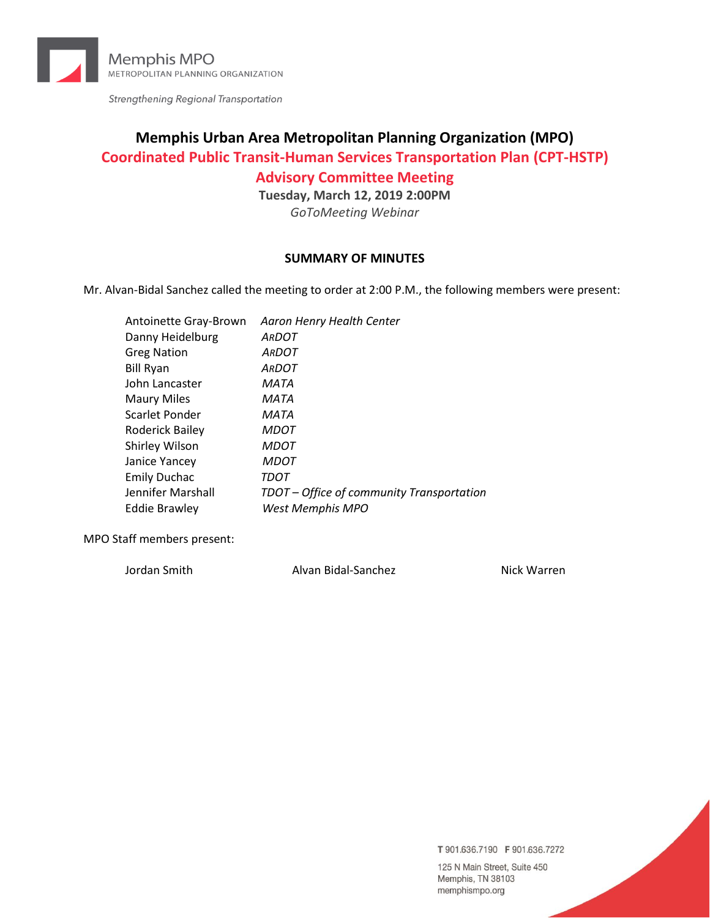

Strengthening Regional Transportation

# **Memphis Urban Area Metropolitan Planning Organization (MPO) Coordinated Public Transit-Human Services Transportation Plan (CPT-HSTP)**

**Advisory Committee Meeting**

**Tuesday, March 12, 2019 2:00PM**

*GoToMeeting Webinar*

#### **SUMMARY OF MINUTES**

Mr. Alvan-Bidal Sanchez called the meeting to order at 2:00 P.M., the following members were present:

| Antoinette Gray-Brown | Aaron Henry Health Center                 |
|-----------------------|-------------------------------------------|
| Danny Heidelburg      | <b>ARDOT</b>                              |
| <b>Greg Nation</b>    | <b>ARDOT</b>                              |
| <b>Bill Ryan</b>      | <b>ARDOT</b>                              |
| John Lancaster        | MATA                                      |
| <b>Maury Miles</b>    | MATA                                      |
| Scarlet Ponder        | MATA                                      |
| Roderick Bailey       | <b>MDOT</b>                               |
| Shirley Wilson        | <b>MDOT</b>                               |
| Janice Yancey         | <b>MDOT</b>                               |
| <b>Emily Duchac</b>   | TDOT                                      |
| Jennifer Marshall     | TDOT – Office of community Transportation |
| <b>Eddie Brawley</b>  | West Memphis MPO                          |
|                       |                                           |

MPO Staff members present:

Jordan Smith Alvan Bidal-Sanchez Nick Warren

T 901.636.7190 F 901.636.7272

125 N Main Street, Suite 450 Memphis, TN 38103 memphismpo.org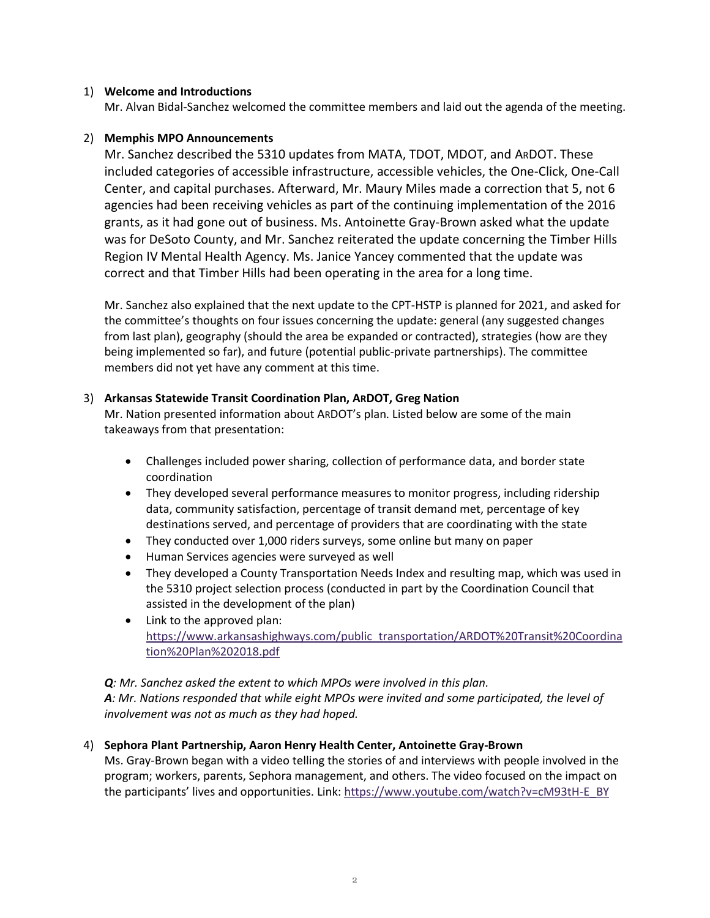#### 1) **Welcome and Introductions**

Mr. Alvan Bidal-Sanchez welcomed the committee members and laid out the agenda of the meeting.

#### 2) **Memphis MPO Announcements**

Mr. Sanchez described the 5310 updates from MATA, TDOT, MDOT, and ARDOT. These included categories of accessible infrastructure, accessible vehicles, the One-Click, One-Call Center, and capital purchases. Afterward, Mr. Maury Miles made a correction that 5, not 6 agencies had been receiving vehicles as part of the continuing implementation of the 2016 grants, as it had gone out of business. Ms. Antoinette Gray-Brown asked what the update was for DeSoto County, and Mr. Sanchez reiterated the update concerning the Timber Hills Region IV Mental Health Agency. Ms. Janice Yancey commented that the update was correct and that Timber Hills had been operating in the area for a long time.

Mr. Sanchez also explained that the next update to the CPT-HSTP is planned for 2021, and asked for the committee's thoughts on four issues concerning the update: general (any suggested changes from last plan), geography (should the area be expanded or contracted), strategies (how are they being implemented so far), and future (potential public-private partnerships). The committee members did not yet have any comment at this time.

### 3) **Arkansas Statewide Transit Coordination Plan, ARDOT, Greg Nation**

Mr. Nation presented information about ARDOT's plan. Listed below are some of the main takeaways from that presentation:

- Challenges included power sharing, collection of performance data, and border state coordination
- They developed several performance measures to monitor progress, including ridership data, community satisfaction, percentage of transit demand met, percentage of key destinations served, and percentage of providers that are coordinating with the state
- They conducted over 1,000 riders surveys, some online but many on paper
- Human Services agencies were surveyed as well
- They developed a County Transportation Needs Index and resulting map, which was used in the 5310 project selection process (conducted in part by the Coordination Council that assisted in the development of the plan)
- Link to the approved plan: [https://www.arkansashighways.com/public\\_transportation/ARDOT%20Transit%20Coordina](https://www.arkansashighways.com/public_transportation/ARDOT%20Transit%20Coordination%20Plan%202018.pdf) [tion%20Plan%202018.pdf](https://www.arkansashighways.com/public_transportation/ARDOT%20Transit%20Coordination%20Plan%202018.pdf)

#### *Q: Mr. Sanchez asked the extent to which MPOs were involved in this plan.*

*A: Mr. Nations responded that while eight MPOs were invited and some participated, the level of involvement was not as much as they had hoped.* 

## 4) **Sephora Plant Partnership, Aaron Henry Health Center, Antoinette Gray-Brown**

Ms. Gray-Brown began with a video telling the stories of and interviews with people involved in the program; workers, parents, Sephora management, and others. The video focused on the impact on the participants' lives and opportunities. Link[: https://www.youtube.com/watch?v=cM93tH-E\\_BY](https://www.youtube.com/watch?v=cM93tH-E_BY)